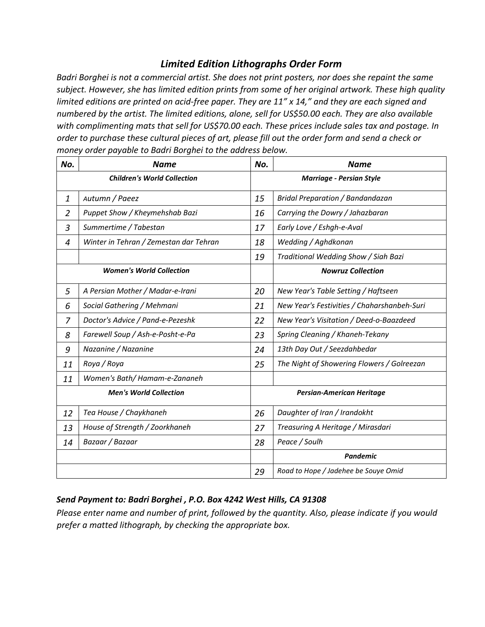## *Limited Edition Lithographs Order Form*

*Badri Borghei is not a commercial artist. She does not print posters, nor does she repaint the same subject. However, she has limited edition prints from some of her original artwork. These high quality limited editions are printed on acid-free paper. They are 11" x 14," and they are each signed and numbered by the artist. The limited editions, alone, sell for US\$50.00 each. They are also available with complimenting mats that sell for US\$70.00 each. These prices include sales tax and postage. In order to purchase these cultural pieces of art, please fill out the order form and send a check or money order payable to Badri Borghei to the address below.* 

| No.                                | <b>Name</b>                            | No.                              | <b>Name</b>                                 |  |  |
|------------------------------------|----------------------------------------|----------------------------------|---------------------------------------------|--|--|
| <b>Children's World Collection</b> |                                        | <b>Marriage - Persian Style</b>  |                                             |  |  |
| 1                                  | Autumn / Paeez                         | 15                               | <b>Bridal Preparation / Bandandazan</b>     |  |  |
| $\overline{2}$                     | Puppet Show / Kheymehshab Bazi         | 16                               | Carrying the Dowry / Jahazbaran             |  |  |
| 3                                  | Summertime / Tabestan                  | 17                               | Early Love / Eshgh-e-Aval                   |  |  |
| 4                                  | Winter in Tehran / Zemestan dar Tehran | 18                               | Wedding / Aghdkonan                         |  |  |
|                                    |                                        | 19                               | Traditional Wedding Show / Siah Bazi        |  |  |
| <b>Women's World Collection</b>    |                                        |                                  | <b>Nowruz Collection</b>                    |  |  |
| 5                                  | A Persian Mother / Madar-e-Irani       | 20                               | New Year's Table Setting / Haftseen         |  |  |
| 6                                  | Social Gathering / Mehmani             | 21                               | New Year's Festivities / Chaharshanbeh-Suri |  |  |
| 7                                  | Doctor's Advice / Pand-e-Pezeshk       | 22                               | New Year's Visitation / Deed-o-Baazdeed     |  |  |
| 8                                  | Farewell Soup / Ash-e-Posht-e-Pa       | 23                               | Spring Cleaning / Khaneh-Tekany             |  |  |
| 9                                  | Nazanine / Nazanine                    | 24                               | 13th Day Out / Seezdahbedar                 |  |  |
| 11                                 | Roya / Roya                            | 25                               | The Night of Showering Flowers / Golreezan  |  |  |
| 11                                 | Women's Bath/Hamam-e-Zananeh           |                                  |                                             |  |  |
| <b>Men's World Collection</b>      |                                        | <b>Persian-American Heritage</b> |                                             |  |  |
| 12                                 | Tea House / Chaykhaneh                 | 26                               | Daughter of Iran / Irandokht                |  |  |
| 13                                 | House of Strength / Zoorkhaneh         | 27                               | Treasuring A Heritage / Mirasdari           |  |  |
| 14                                 | Bazaar / Bazaar                        | 28                               | Peace / Soulh                               |  |  |
|                                    |                                        |                                  | <b>Pandemic</b>                             |  |  |
|                                    |                                        | 29                               | Road to Hope / Jadehee be Souye Omid        |  |  |

## *Send Payment to: Badri Borghei , P.O. Box 4242 West Hills, CA 91308*

*Please enter name and number of print, followed by the quantity. Also, please indicate if you would prefer a matted lithograph, by checking the appropriate box.*